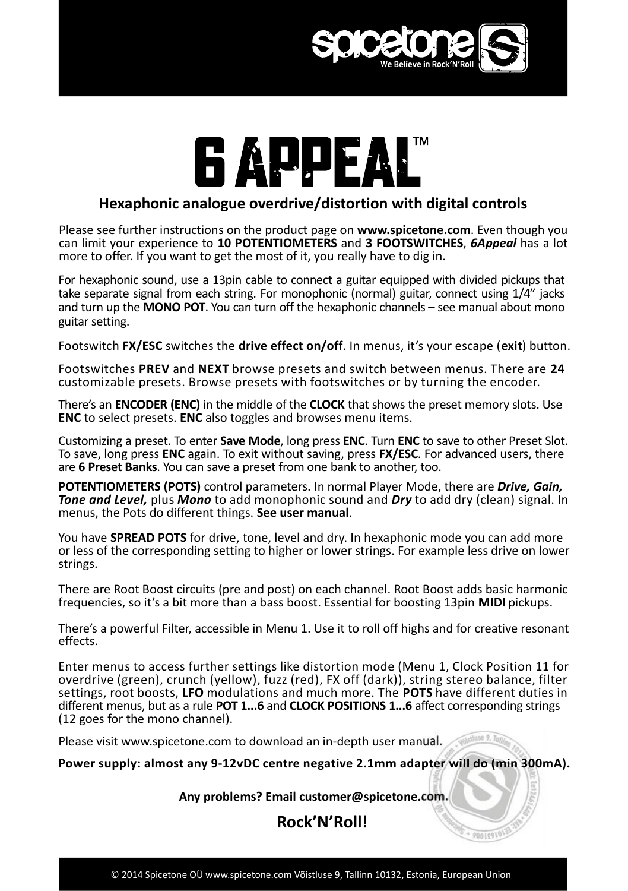

## **Hexaphonic analogue overdrive/distortion with digital controls**

Please see further instructions on the product page on www.spicetone.com. Even though you can limit your experience to 10 POTENTIOMETERS and 3 FOOTSWITCHES, 6Appeal has a lot more to offer. If you want to get the most of it, you really have to dig in. **10 POTENTIONET CONSUMING A POST OF A POST OF A POTENTIONETERS** and **3 FOOTSWITCHES**, **6Appeal** has get the most of it, you really have to dig in.

For hexaphonic sound, use a 13pin cable to connect a guitar equipped with divided pickups that take separate signal from each string. For monophonic (normal) guitar, connect using 1/4" jacks and turn up the MONO POT. You can turn off the hexaphonic channels – see manual about mono guitar setting. For hexaphonic sound, use a 13pin cable to connect a guitar equipped with divided pickups that<br>take separate signal from each string. For monophonic (normal) guitar, connect using 1/4" jacks<br>and turn up the **MONO POT**. You ignal from each string. For monophonic (normal) guitar, connect using 1/4" jacks<br> **PRONO POT**. You can turn off the hexaphonic channels – see manual about mono<br> **PREV** switches the **drive effect on/off**. In menus, it's you

Footswitches <code>PREV</code> and <code>NEXT</code> browse presets and switch between menus. There are <code>24</code> customizable presets. Browse presets with footswitches or by turning the encoder. Footswitch FX/ESC switches the **drive effect on/off**. In menus, it's your escape (exit) button.<br>Footswitches PREV and NEXT browse presets and switch between menus. There are 24<br>customizable presets. Browse presets with foo **Footswitch FX/ESC switches the drive effect on/off**. In menus, it's yc<br>Footswitches **PREV** and **NEXT** browse presets and switch betweer<br>customizable presets. Browse presets with footswitches or by tur<br>There's an **ENCODER** 

Footswitches PREV and NEXT browse presets and switch between menus. There are 24<br>customizable presets. Browse presets with footswitches or by turning the encoder.<br>There's an ENCODER (ENC) in the middle of the CLOCK that sh customizable presets. Browse presets with footswitches or by turning the encoder.<br>There's an **ENCODER (ENC)** in the middle of the **CLOCK** that shows the preset memory slots. Use<br>**ENC** to select presets. **ENC** also toggles are 6 Preset Banks. You can save a preset from one bank to another, too.

**POTENTIOMETERS (POTS)** control parameters. In normal Player Mode, there are *Drive, Gain,* **CONDITY CONDUGE 2018 THE AND AND AND THE ANDER CONDUCT TO SAVE OF PRESE SOLT**<br>To save, long press **ENC** again. To exit without saving, press **FX/ESC**. For advanced users, there are **6 Preset Banks**. You can save a preset menus, the Pots do different things. See user manual.

You have **SPREAD POTS** for drive, tone, level and dry. In hexaphonic mode you can add more or less of the corresponding setting to higher or lower strings. For example less drive on lower strings.

There are Root Boost circuits (pre and post) on each channel. Root Boost adds basic harmonic frequencies, so it's a bit more than a bass boost. Essential for boosting 13pin **MIDI** pickups.

effects.

There's a powerful Filter, accessible in Menu 1. Use it to roll off highs and for creative resonant<br>effects.<br>Enter menus to access further settings like distortion mode (Menu 1, Clock Position 11 for<br>overdrive (green), cru Enter menus to access further settings like distortion mode (Menu 1, Clock Position 11 for overdrive (green), crunch (yellow), fuzz (red), FX off (dark)), string stereo balance, filter<br>settings, root boosts. LFO modulations and much more. The POTS have different duties in There's a powerful Filter, accessible in Menu 1. Use it to roll off highs and for creative resonant effects.<br>Enter menus to access further settings like distortion mode (Menu 1, Clock Position 11 for<br>overdrive (green), cru (12 goes for the mono channel).

Please visit www.spicetone.com to download an in-depth user manual.

**Power supply: almost any 9-12vDC centre negative 2.1mm adapter will do (min 300mA).**

**Any problems? Email customer@spicetone.com.**

**Rock'N'Roll!**